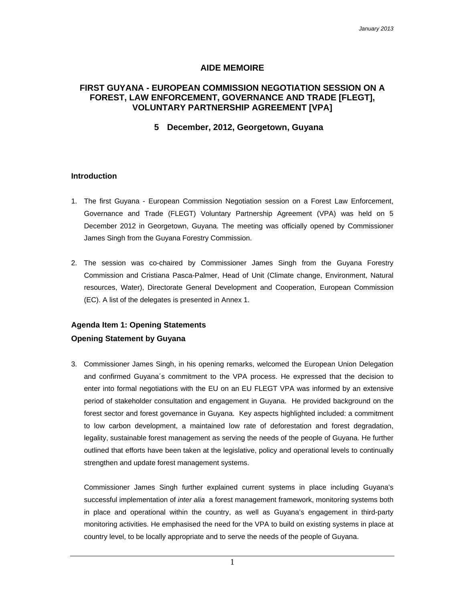### **AIDE MEMOIRE**

## **FIRST GUYANA - EUROPEAN COMMISSION NEGOTIATION SESSION ON A FOREST, LAW ENFORCEMENT, GOVERNANCE AND TRADE [FLEGT], VOLUNTARY PARTNERSHIP AGREEMENT [VPA]**

#### **5 December, 2012, Georgetown, Guyana**

#### **Introduction**

- 1. The first Guyana European Commission Negotiation session on a Forest Law Enforcement, Governance and Trade (FLEGT) Voluntary Partnership Agreement (VPA) was held on 5 December 2012 in Georgetown, Guyana. The meeting was officially opened by Commissioner James Singh from the Guyana Forestry Commission.
- 2. The session was co-chaired by Commissioner James Singh from the Guyana Forestry Commission and Cristiana Pasca-Palmer, Head of Unit (Climate change, Environment, Natural resources, Water), Directorate General Development and Cooperation, European Commission (EC). A list of the delegates is presented in Annex 1.

## **Agenda Item 1: Opening Statements Opening Statement by Guyana**

3. Commissioner James Singh, in his opening remarks, welcomed the European Union Delegation and confirmed Guyana´s commitment to the VPA process. He expressed that the decision to enter into formal negotiations with the EU on an EU FLEGT VPA was informed by an extensive period of stakeholder consultation and engagement in Guyana. He provided background on the forest sector and forest governance in Guyana. Key aspects highlighted included: a commitment to low carbon development, a maintained low rate of deforestation and forest degradation, legality, sustainable forest management as serving the needs of the people of Guyana. He further outlined that efforts have been taken at the legislative, policy and operational levels to continually strengthen and update forest management systems.

Commissioner James Singh further explained current systems in place including Guyana's successful implementation of *inter alia* a forest management framework, monitoring systems both in place and operational within the country, as well as Guyana's engagement in third-party monitoring activities. He emphasised the need for the VPA to build on existing systems in place at country level, to be locally appropriate and to serve the needs of the people of Guyana.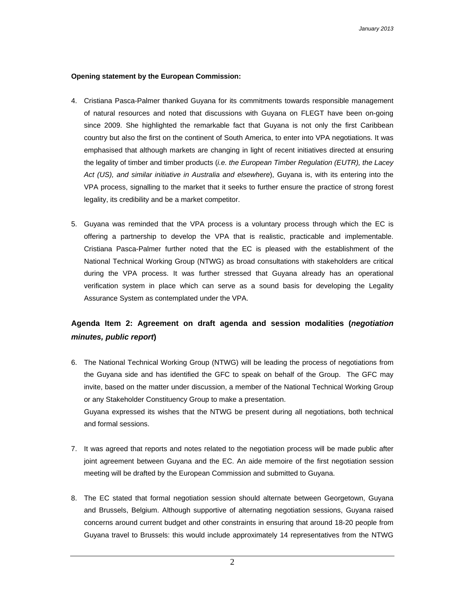#### **Opening statement by the European Commission:**

- 4. Cristiana Pasca-Palmer thanked Guyana for its commitments towards responsible management of natural resources and noted that discussions with Guyana on FLEGT have been on-going since 2009. She highlighted the remarkable fact that Guyana is not only the first Caribbean country but also the first on the continent of South America, to enter into VPA negotiations. It was emphasised that although markets are changing in light of recent initiatives directed at ensuring the legality of timber and timber products (*i.e. the European Timber Regulation (EUTR), the Lacey Act (US), and similar initiative in Australia and elsewhere*), Guyana is, with its entering into the VPA process, signalling to the market that it seeks to further ensure the practice of strong forest legality, its credibility and be a market competitor.
- 5. Guyana was reminded that the VPA process is a voluntary process through which the EC is offering a partnership to develop the VPA that is realistic, practicable and implementable. Cristiana Pasca-Palmer further noted that the EC is pleased with the establishment of the National Technical Working Group (NTWG) as broad consultations with stakeholders are critical during the VPA process. It was further stressed that Guyana already has an operational verification system in place which can serve as a sound basis for developing the Legality Assurance System as contemplated under the VPA.

## **Agenda Item 2: Agreement on draft agenda and session modalities (***negotiation minutes, public report***)**

- 6. The National Technical Working Group (NTWG) will be leading the process of negotiations from the Guyana side and has identified the GFC to speak on behalf of the Group. The GFC may invite, based on the matter under discussion, a member of the National Technical Working Group or any Stakeholder Constituency Group to make a presentation. Guyana expressed its wishes that the NTWG be present during all negotiations, both technical and formal sessions.
- 7. It was agreed that reports and notes related to the negotiation process will be made public after joint agreement between Guyana and the EC. An aide memoire of the first negotiation session meeting will be drafted by the European Commission and submitted to Guyana.
- 8. The EC stated that formal negotiation session should alternate between Georgetown, Guyana and Brussels, Belgium. Although supportive of alternating negotiation sessions, Guyana raised concerns around current budget and other constraints in ensuring that around 18-20 people from Guyana travel to Brussels: this would include approximately 14 representatives from the NTWG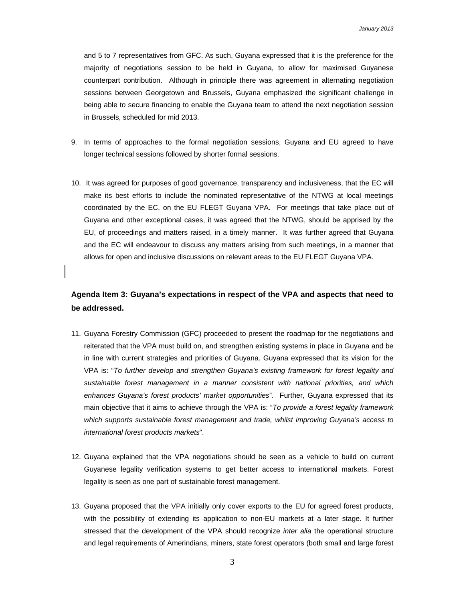and 5 to 7 representatives from GFC. As such, Guyana expressed that it is the preference for the majority of negotiations session to be held in Guyana, to allow for maximised Guyanese counterpart contribution. Although in principle there was agreement in alternating negotiation sessions between Georgetown and Brussels, Guyana emphasized the significant challenge in being able to secure financing to enable the Guyana team to attend the next negotiation session in Brussels, scheduled for mid 2013.

- 9. In terms of approaches to the formal negotiation sessions, Guyana and EU agreed to have longer technical sessions followed by shorter formal sessions.
- 10. It was agreed for purposes of good governance, transparency and inclusiveness, that the EC will make its best efforts to include the nominated representative of the NTWG at local meetings coordinated by the EC, on the EU FLEGT Guyana VPA. For meetings that take place out of Guyana and other exceptional cases, it was agreed that the NTWG, should be apprised by the EU, of proceedings and matters raised, in a timely manner. It was further agreed that Guyana and the EC will endeavour to discuss any matters arising from such meetings, in a manner that allows for open and inclusive discussions on relevant areas to the EU FLEGT Guyana VPA.

## **Agenda Item 3: Guyana's expectations in respect of the VPA and aspects that need to be addressed.**

- 11. Guyana Forestry Commission (GFC) proceeded to present the roadmap for the negotiations and reiterated that the VPA must build on, and strengthen existing systems in place in Guyana and be in line with current strategies and priorities of Guyana. Guyana expressed that its vision for the VPA is: "*To further develop and strengthen Guyana's existing framework for forest legality and sustainable forest management in a manner consistent with national priorities, and which enhances Guyana's forest products' market opportunities*". Further, Guyana expressed that its main objective that it aims to achieve through the VPA is: "*To provide a forest legality framework which supports sustainable forest management and trade, whilst improving Guyana's access to international forest products markets*".
- 12. Guyana explained that the VPA negotiations should be seen as a vehicle to build on current Guyanese legality verification systems to get better access to international markets. Forest legality is seen as one part of sustainable forest management.
- 13. Guyana proposed that the VPA initially only cover exports to the EU for agreed forest products, with the possibility of extending its application to non-EU markets at a later stage. It further stressed that the development of the VPA should recognize *inter alia* the operational structure and legal requirements of Amerindians, miners, state forest operators (both small and large forest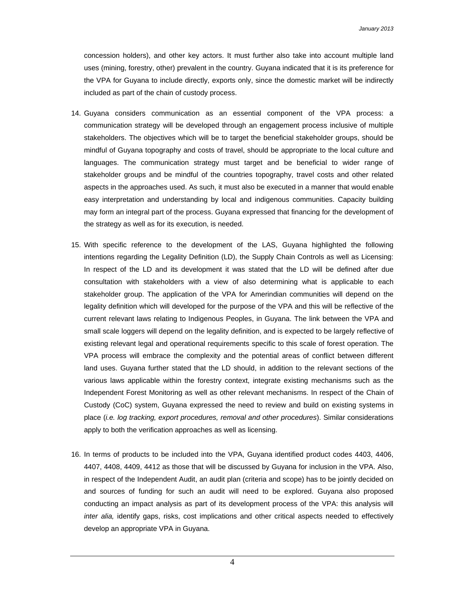concession holders), and other key actors. It must further also take into account multiple land uses (mining, forestry, other) prevalent in the country. Guyana indicated that it is its preference for the VPA for Guyana to include directly, exports only, since the domestic market will be indirectly included as part of the chain of custody process.

- 14. Guyana considers communication as an essential component of the VPA process: a communication strategy will be developed through an engagement process inclusive of multiple stakeholders. The objectives which will be to target the beneficial stakeholder groups, should be mindful of Guyana topography and costs of travel, should be appropriate to the local culture and languages. The communication strategy must target and be beneficial to wider range of stakeholder groups and be mindful of the countries topography, travel costs and other related aspects in the approaches used. As such, it must also be executed in a manner that would enable easy interpretation and understanding by local and indigenous communities. Capacity building may form an integral part of the process. Guyana expressed that financing for the development of the strategy as well as for its execution, is needed.
- 15. With specific reference to the development of the LAS, Guyana highlighted the following intentions regarding the Legality Definition (LD), the Supply Chain Controls as well as Licensing: In respect of the LD and its development it was stated that the LD will be defined after due consultation with stakeholders with a view of also determining what is applicable to each stakeholder group. The application of the VPA for Amerindian communities will depend on the legality definition which will developed for the purpose of the VPA and this will be reflective of the current relevant laws relating to Indigenous Peoples, in Guyana. The link between the VPA and small scale loggers will depend on the legality definition, and is expected to be largely reflective of existing relevant legal and operational requirements specific to this scale of forest operation. The VPA process will embrace the complexity and the potential areas of conflict between different land uses. Guyana further stated that the LD should, in addition to the relevant sections of the various laws applicable within the forestry context, integrate existing mechanisms such as the Independent Forest Monitoring as well as other relevant mechanisms. In respect of the Chain of Custody (CoC) system, Guyana expressed the need to review and build on existing systems in place (*i.e. log tracking, export procedures, removal and other procedures*). Similar considerations apply to both the verification approaches as well as licensing.
- 16. In terms of products to be included into the VPA, Guyana identified product codes 4403, 4406, 4407, 4408, 4409, 4412 as those that will be discussed by Guyana for inclusion in the VPA. Also, in respect of the Independent Audit, an audit plan (criteria and scope) has to be jointly decided on and sources of funding for such an audit will need to be explored. Guyana also proposed conducting an impact analysis as part of its development process of the VPA: this analysis will *inter alia,* identify gaps, risks, cost implications and other critical aspects needed to effectively develop an appropriate VPA in Guyana.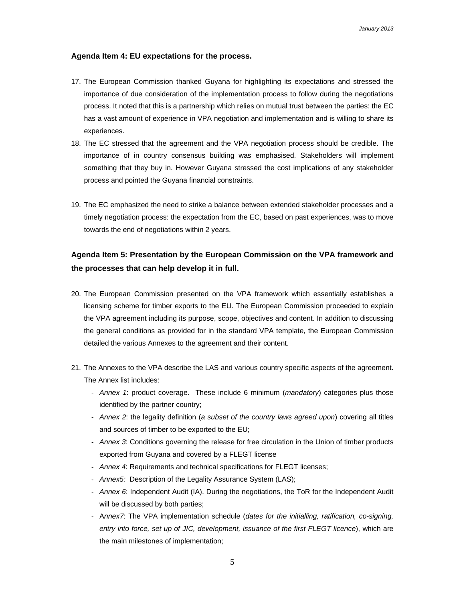#### **Agenda Item 4: EU expectations for the process.**

- 17. The European Commission thanked Guyana for highlighting its expectations and stressed the importance of due consideration of the implementation process to follow during the negotiations process. It noted that this is a partnership which relies on mutual trust between the parties: the EC has a vast amount of experience in VPA negotiation and implementation and is willing to share its experiences.
- 18. The EC stressed that the agreement and the VPA negotiation process should be credible. The importance of in country consensus building was emphasised. Stakeholders will implement something that they buy in. However Guyana stressed the cost implications of any stakeholder process and pointed the Guyana financial constraints.
- 19. The EC emphasized the need to strike a balance between extended stakeholder processes and a timely negotiation process: the expectation from the EC, based on past experiences, was to move towards the end of negotiations within 2 years.

## **Agenda Item 5: Presentation by the European Commission on the VPA framework and the processes that can help develop it in full.**

- 20. The European Commission presented on the VPA framework which essentially establishes a licensing scheme for timber exports to the EU. The European Commission proceeded to explain the VPA agreement including its purpose, scope, objectives and content. In addition to discussing the general conditions as provided for in the standard VPA template, the European Commission detailed the various Annexes to the agreement and their content.
- 21. The Annexes to the VPA describe the LAS and various country specific aspects of the agreement. The Annex list includes:
	- ‐ *Annex 1*: product coverage. These include 6 minimum (*mandatory*) categories plus those identified by the partner country;
	- ‐ *Annex 2*: the legality definition (*a subset of the country laws agreed upon*) covering all titles and sources of timber to be exported to the EU;
	- ‐ *Annex 3*: Conditions governing the release for free circulation in the Union of timber products exported from Guyana and covered by a FLEGT license
	- ‐ *Annex 4*: Requirements and technical specifications for FLEGT licenses;
	- ‐ *Annex5:* Description of the Legality Assurance System (LAS);
	- ‐ *Annex 6*: Independent Audit (IA). During the negotiations, the ToR for the Independent Audit will be discussed by both parties;
	- ‐ A*nnex7*: The VPA implementation schedule (*dates for the initialling, ratification, co-signing, entry into force, set up of JIC, development, issuance of the first FLEGT licence*), which are the main milestones of implementation;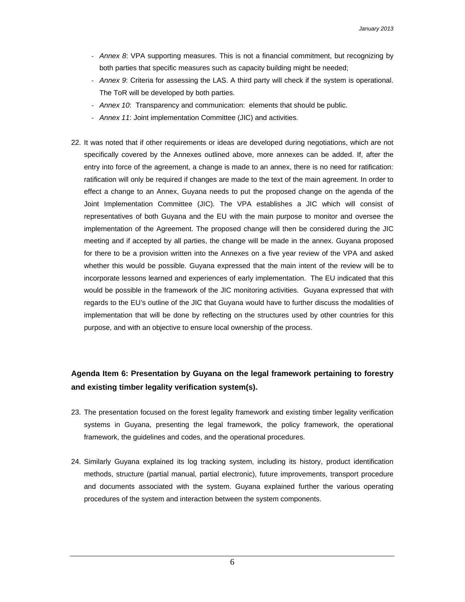- ‐ *Annex 8*: VPA supporting measures. This is not a financial commitment, but recognizing by both parties that specific measures such as capacity building might be needed;
- ‐ *Annex 9*: Criteria for assessing the LAS. A third party will check if the system is operational. The ToR will be developed by both parties.
- ‐ *Annex 10*: Transparency and communication: elements that should be public.
- ‐ *Annex 11*: Joint implementation Committee (JIC) and activities.
- 22. It was noted that if other requirements or ideas are developed during negotiations, which are not specifically covered by the Annexes outlined above, more annexes can be added. If, after the entry into force of the agreement, a change is made to an annex, there is no need for ratification: ratification will only be required if changes are made to the text of the main agreement. In order to effect a change to an Annex, Guyana needs to put the proposed change on the agenda of the Joint Implementation Committee (JIC). The VPA establishes a JIC which will consist of representatives of both Guyana and the EU with the main purpose to monitor and oversee the implementation of the Agreement. The proposed change will then be considered during the JIC meeting and if accepted by all parties, the change will be made in the annex. Guyana proposed for there to be a provision written into the Annexes on a five year review of the VPA and asked whether this would be possible. Guyana expressed that the main intent of the review will be to incorporate lessons learned and experiences of early implementation. The EU indicated that this would be possible in the framework of the JIC monitoring activities. Guyana expressed that with regards to the EU's outline of the JIC that Guyana would have to further discuss the modalities of implementation that will be done by reflecting on the structures used by other countries for this purpose, and with an objective to ensure local ownership of the process.

## **Agenda Item 6: Presentation by Guyana on the legal framework pertaining to forestry and existing timber legality verification system(s).**

- 23. The presentation focused on the forest legality framework and existing timber legality verification systems in Guyana, presenting the legal framework, the policy framework, the operational framework, the guidelines and codes, and the operational procedures.
- 24. Similarly Guyana explained its log tracking system, including its history, product identification methods, structure (partial manual, partial electronic), future improvements, transport procedure and documents associated with the system. Guyana explained further the various operating procedures of the system and interaction between the system components.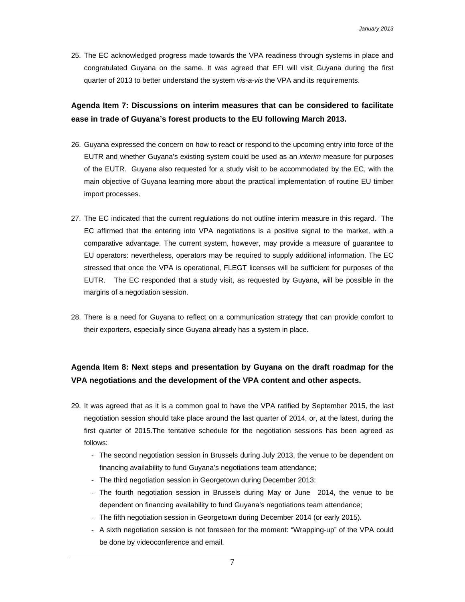25. The EC acknowledged progress made towards the VPA readiness through systems in place and congratulated Guyana on the same. It was agreed that EFI will visit Guyana during the first quarter of 2013 to better understand the system *vis-a-vis* the VPA and its requirements.

## **Agenda Item 7: Discussions on interim measures that can be considered to facilitate ease in trade of Guyana's forest products to the EU following March 2013.**

- 26. Guyana expressed the concern on how to react or respond to the upcoming entry into force of the EUTR and whether Guyana's existing system could be used as an *interim* measure for purposes of the EUTR. Guyana also requested for a study visit to be accommodated by the EC, with the main objective of Guyana learning more about the practical implementation of routine EU timber import processes.
- 27. The EC indicated that the current regulations do not outline interim measure in this regard. The EC affirmed that the entering into VPA negotiations is a positive signal to the market, with a comparative advantage. The current system, however, may provide a measure of guarantee to EU operators: nevertheless, operators may be required to supply additional information. The EC stressed that once the VPA is operational, FLEGT licenses will be sufficient for purposes of the EUTR. The EC responded that a study visit, as requested by Guyana, will be possible in the margins of a negotiation session.
- 28. There is a need for Guyana to reflect on a communication strategy that can provide comfort to their exporters, especially since Guyana already has a system in place.

## **Agenda Item 8: Next steps and presentation by Guyana on the draft roadmap for the VPA negotiations and the development of the VPA content and other aspects.**

- 29. It was agreed that as it is a common goal to have the VPA ratified by September 2015, the last negotiation session should take place around the last quarter of 2014, or, at the latest, during the first quarter of 2015.The tentative schedule for the negotiation sessions has been agreed as follows:
	- ‐ The second negotiation session in Brussels during July 2013, the venue to be dependent on financing availability to fund Guyana's negotiations team attendance;
	- ‐ The third negotiation session in Georgetown during December 2013;
	- ‐ The fourth negotiation session in Brussels during May or June 2014, the venue to be dependent on financing availability to fund Guyana's negotiations team attendance;
	- ‐ The fifth negotiation session in Georgetown during December 2014 (or early 2015).
	- ‐ A sixth negotiation session is not foreseen for the moment: "Wrapping-up" of the VPA could be done by videoconference and email.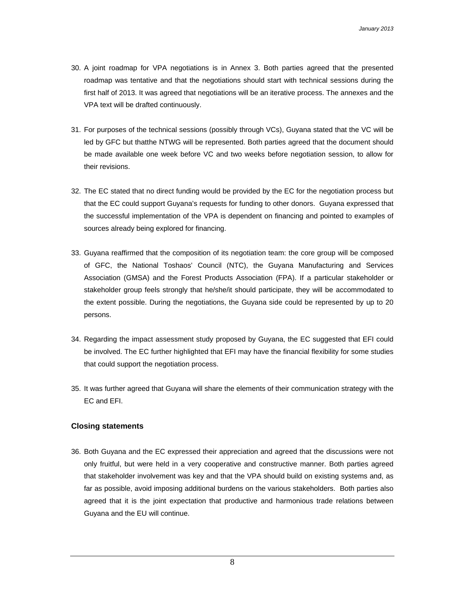- 30. A joint roadmap for VPA negotiations is in Annex 3. Both parties agreed that the presented roadmap was tentative and that the negotiations should start with technical sessions during the first half of 2013. It was agreed that negotiations will be an iterative process. The annexes and the VPA text will be drafted continuously.
- 31. For purposes of the technical sessions (possibly through VCs), Guyana stated that the VC will be led by GFC but thatthe NTWG will be represented. Both parties agreed that the document should be made available one week before VC and two weeks before negotiation session, to allow for their revisions.
- 32. The EC stated that no direct funding would be provided by the EC for the negotiation process but that the EC could support Guyana's requests for funding to other donors. Guyana expressed that the successful implementation of the VPA is dependent on financing and pointed to examples of sources already being explored for financing.
- 33. Guyana reaffirmed that the composition of its negotiation team: the core group will be composed of GFC, the National Toshaos' Council (NTC), the Guyana Manufacturing and Services Association (GMSA) and the Forest Products Association (FPA). If a particular stakeholder or stakeholder group feels strongly that he/she/it should participate, they will be accommodated to the extent possible. During the negotiations, the Guyana side could be represented by up to 20 persons.
- 34. Regarding the impact assessment study proposed by Guyana, the EC suggested that EFI could be involved. The EC further highlighted that EFI may have the financial flexibility for some studies that could support the negotiation process.
- 35. It was further agreed that Guyana will share the elements of their communication strategy with the EC and EFI.

### **Closing statements**

36. Both Guyana and the EC expressed their appreciation and agreed that the discussions were not only fruitful, but were held in a very cooperative and constructive manner. Both parties agreed that stakeholder involvement was key and that the VPA should build on existing systems and, as far as possible, avoid imposing additional burdens on the various stakeholders. Both parties also agreed that it is the joint expectation that productive and harmonious trade relations between Guyana and the EU will continue.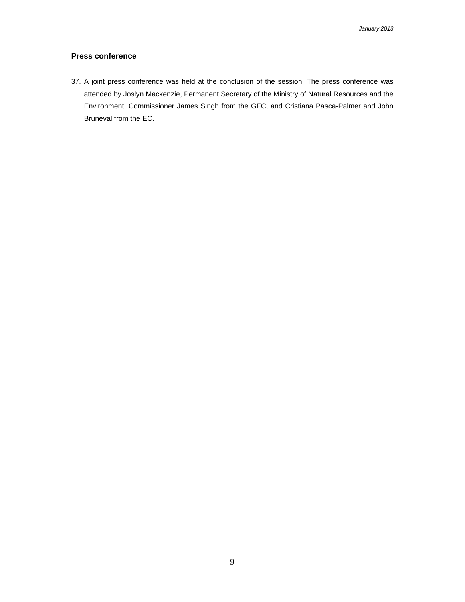## **Press conference**

37. A joint press conference was held at the conclusion of the session. The press conference was attended by Joslyn Mackenzie, Permanent Secretary of the Ministry of Natural Resources and the Environment, Commissioner James Singh from the GFC, and Cristiana Pasca-Palmer and John Bruneval from the EC.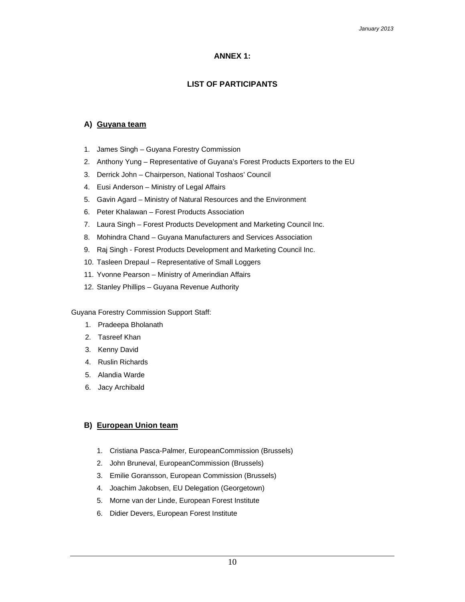## **ANNEX 1:**

## **LIST OF PARTICIPANTS**

### **A) Guyana team**

- 1. James Singh Guyana Forestry Commission
- 2. Anthony Yung Representative of Guyana's Forest Products Exporters to the EU
- 3. Derrick John Chairperson, National Toshaos' Council
- 4. Eusi Anderson Ministry of Legal Affairs
- 5. Gavin Agard Ministry of Natural Resources and the Environment
- 6. Peter Khalawan Forest Products Association
- 7. Laura Singh Forest Products Development and Marketing Council Inc.
- 8. Mohindra Chand Guyana Manufacturers and Services Association
- 9. Raj Singh Forest Products Development and Marketing Council Inc.
- 10. Tasleen Drepaul Representative of Small Loggers
- 11. Yvonne Pearson Ministry of Amerindian Affairs
- 12. Stanley Phillips Guyana Revenue Authority

#### Guyana Forestry Commission Support Staff:

- 1. Pradeepa Bholanath
- 2. Tasreef Khan
- 3. Kenny David
- 4. Ruslin Richards
- 5. Alandia Warde
- 6. Jacy Archibald

### **B) European Union team**

- 1. Cristiana Pasca-Palmer, EuropeanCommission (Brussels)
- 2. John Bruneval, EuropeanCommission (Brussels)
- 3. Emilie Goransson, European Commission (Brussels)
- 4. Joachim Jakobsen, EU Delegation (Georgetown)
- 5. Morne van der Linde, European Forest Institute
- 6. Didier Devers, European Forest Institute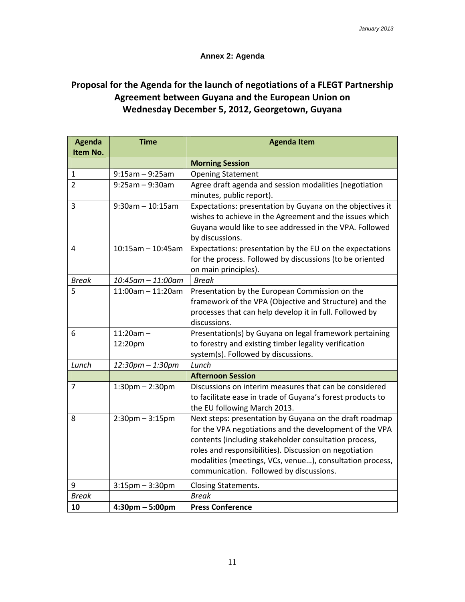## **Annex 2: Agenda**

# **Proposal for the Agenda for the launch of negotiations of a FLEGT Partnership Agreement between Guyana and the European Union on Wednesday December 5, 2012, Georgetown, Guyana**

| <b>Agenda</b><br>Item No. | <b>Time</b>                       | <b>Agenda Item</b>                                                                                                                                                                                                                                                                                                                           |  |  |  |
|---------------------------|-----------------------------------|----------------------------------------------------------------------------------------------------------------------------------------------------------------------------------------------------------------------------------------------------------------------------------------------------------------------------------------------|--|--|--|
|                           |                                   | <b>Morning Session</b>                                                                                                                                                                                                                                                                                                                       |  |  |  |
| $\mathbf{1}$              | $9:15am - 9:25am$                 | <b>Opening Statement</b>                                                                                                                                                                                                                                                                                                                     |  |  |  |
| $\overline{2}$            | $9:25am - 9:30am$                 | Agree draft agenda and session modalities (negotiation<br>minutes, public report).                                                                                                                                                                                                                                                           |  |  |  |
| 3                         | $9:30$ am - 10:15am               | Expectations: presentation by Guyana on the objectives it<br>wishes to achieve in the Agreement and the issues which<br>Guyana would like to see addressed in the VPA. Followed<br>by discussions.                                                                                                                                           |  |  |  |
| 4                         | $10:15$ am - 10:45am              | Expectations: presentation by the EU on the expectations<br>for the process. Followed by discussions (to be oriented<br>on main principles).                                                                                                                                                                                                 |  |  |  |
| <b>Break</b>              | $10:45$ am - 11:00am              | <b>Break</b>                                                                                                                                                                                                                                                                                                                                 |  |  |  |
| 5                         | $11:00$ am - $11:20$ am           | Presentation by the European Commission on the<br>framework of the VPA (Objective and Structure) and the<br>processes that can help develop it in full. Followed by<br>discussions.                                                                                                                                                          |  |  |  |
| 6                         | $11:20am -$<br>12:20pm            | Presentation(s) by Guyana on legal framework pertaining<br>to forestry and existing timber legality verification<br>system(s). Followed by discussions.                                                                                                                                                                                      |  |  |  |
| Lunch                     | 12:30pm - 1:30pm                  | Lunch                                                                                                                                                                                                                                                                                                                                        |  |  |  |
|                           |                                   | <b>Afternoon Session</b>                                                                                                                                                                                                                                                                                                                     |  |  |  |
| $\overline{7}$            | $1:30$ pm $- 2:30$ pm             | Discussions on interim measures that can be considered<br>to facilitate ease in trade of Guyana's forest products to<br>the EU following March 2013.                                                                                                                                                                                         |  |  |  |
| 8                         | $2:30$ pm $-3:15$ pm              | Next steps: presentation by Guyana on the draft roadmap<br>for the VPA negotiations and the development of the VPA<br>contents (including stakeholder consultation process,<br>roles and responsibilities). Discussion on negotiation<br>modalities (meetings, VCs, venue), consultation process,<br>communication. Followed by discussions. |  |  |  |
| 9                         | $3:15$ pm $-3:30$ pm              | Closing Statements.                                                                                                                                                                                                                                                                                                                          |  |  |  |
| <b>Break</b>              |                                   | <b>Break</b>                                                                                                                                                                                                                                                                                                                                 |  |  |  |
| 10                        | $4:30 \text{pm} - 5:00 \text{pm}$ | <b>Press Conference</b>                                                                                                                                                                                                                                                                                                                      |  |  |  |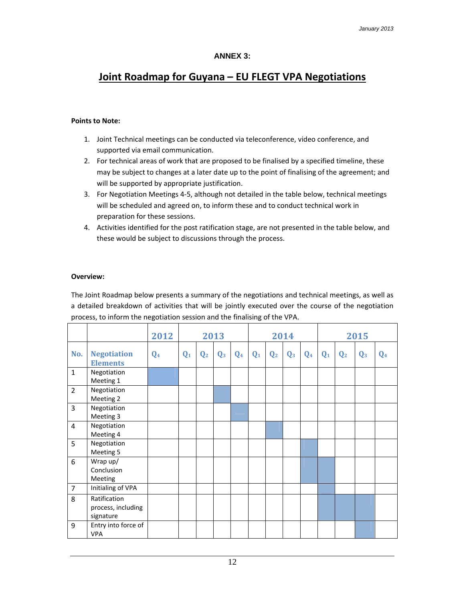## **ANNEX 3:**

# **Joint Roadmap for Guyana – EU FLEGT VPA Negotiations**

### **Points to Note:**

- 1. Joint Technical meetings can be conducted via teleconference, video conference, and supported via email communication.
- 2. For technical areas of work that are proposed to be finalised by a specified timeline, these may be subject to changes at a later date up to the point of finalising of the agreement; and will be supported by appropriate justification.
- 3. For Negotiation Meetings 4‐5, although not detailed in the table below, technical meetings will be scheduled and agreed on, to inform these and to conduct technical work in preparation for these sessions.
- 4. Activities identified for the post ratification stage, are not presented in the table below, and these would be subject to discussions through the process.

#### **Overview:**

The Joint Roadmap below presents a summary of the negotiations and technical meetings, as well as a detailed breakdown of activities that will be jointly executed over the course of the negotiation process, to inform the negotiation session and the finalising of the VPA.

|                |                                                 | 2012           | 2013  |                | 2014           |                |                | 2015           |                |                |                |                |                |                |
|----------------|-------------------------------------------------|----------------|-------|----------------|----------------|----------------|----------------|----------------|----------------|----------------|----------------|----------------|----------------|----------------|
| No.            | <b>Negotiation</b><br><b>Elements</b>           | Q <sub>4</sub> | $Q_1$ | $\mathbf{Q}_2$ | $\mathbf{Q}_3$ | Q <sub>4</sub> | $\mathbf{Q}_1$ | $\mathbf{Q}_2$ | $\mathbf{Q}_3$ | Q <sub>4</sub> | $\mathbf{Q}_1$ | $\mathbf{Q}_2$ | $\mathbf{Q}_3$ | $\mathbf{Q}_4$ |
| $\mathbf 1$    | Negotiation<br>Meeting 1                        |                |       |                |                |                |                |                |                |                |                |                |                |                |
| $\overline{2}$ | Negotiation<br>Meeting 2                        |                |       |                |                |                |                |                |                |                |                |                |                |                |
| 3              | Negotiation<br>Meeting 3                        |                |       |                |                |                |                |                |                |                |                |                |                |                |
| 4              | Negotiation<br>Meeting 4                        |                |       |                |                |                |                |                |                |                |                |                |                |                |
| 5              | Negotiation<br>Meeting 5                        |                |       |                |                |                |                |                |                |                |                |                |                |                |
| 6              | Wrap up/<br>Conclusion<br>Meeting               |                |       |                |                |                |                |                |                |                |                |                |                |                |
| $\overline{7}$ | Initialing of VPA                               |                |       |                |                |                |                |                |                |                |                |                |                |                |
| 8              | Ratification<br>process, including<br>signature |                |       |                |                |                |                |                |                |                |                |                |                |                |
| 9              | Entry into force of<br><b>VPA</b>               |                |       |                |                |                |                |                |                |                |                |                |                |                |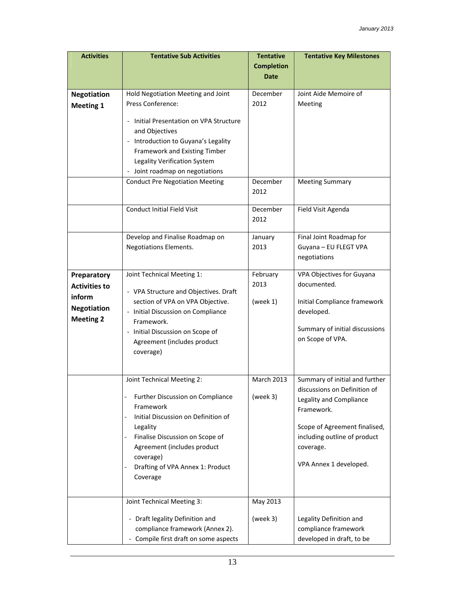| <b>Activities</b>                                | <b>Tentative Sub Activities</b>                                                                                                                                                                  | <b>Tentative</b>                 | <b>Tentative Key Milestones</b>                                                                                                                     |
|--------------------------------------------------|--------------------------------------------------------------------------------------------------------------------------------------------------------------------------------------------------|----------------------------------|-----------------------------------------------------------------------------------------------------------------------------------------------------|
|                                                  |                                                                                                                                                                                                  | <b>Completion</b><br><b>Date</b> |                                                                                                                                                     |
|                                                  |                                                                                                                                                                                                  |                                  |                                                                                                                                                     |
| <b>Negotiation</b><br><b>Meeting 1</b>           | Hold Negotiation Meeting and Joint<br>Press Conference:                                                                                                                                          | December<br>2012                 | Joint Aide Memoire of<br>Meeting                                                                                                                    |
|                                                  | Initial Presentation on VPA Structure<br>and Objectives<br>- Introduction to Guyana's Legality<br>Framework and Existing Timber<br>Legality Verification System<br>Joint roadmap on negotiations |                                  |                                                                                                                                                     |
|                                                  | <b>Conduct Pre Negotiation Meeting</b>                                                                                                                                                           | December<br>2012                 | <b>Meeting Summary</b>                                                                                                                              |
|                                                  | <b>Conduct Initial Field Visit</b>                                                                                                                                                               | December<br>2012                 | Field Visit Agenda                                                                                                                                  |
|                                                  | Develop and Finalise Roadmap on<br>Negotiations Elements.                                                                                                                                        | January<br>2013                  | Final Joint Roadmap for<br>Guyana - EU FLEGT VPA<br>negotiations                                                                                    |
| Preparatory                                      | Joint Technical Meeting 1:                                                                                                                                                                       | February                         | VPA Objectives for Guyana                                                                                                                           |
| <b>Activities to</b>                             | - VPA Structure and Objectives. Draft                                                                                                                                                            | 2013                             | documented.                                                                                                                                         |
| inform<br><b>Negotiation</b><br><b>Meeting 2</b> | section of VPA on VPA Objective.<br>- Initial Discussion on Compliance<br>Framework.<br>- Initial Discussion on Scope of<br>Agreement (includes product<br>coverage)                             | (week $1$ )                      | Initial Compliance framework<br>developed.<br>Summary of initial discussions<br>on Scope of VPA.                                                    |
|                                                  | Joint Technical Meeting 2:                                                                                                                                                                       | March 2013                       | Summary of initial and further                                                                                                                      |
|                                                  | Further Discussion on Compliance<br>Framework<br>Initial Discussion on Definition of<br>Legality<br>Finalise Discussion on Scope of<br>Agreement (includes product<br>coverage)                  | (week 3)                         | discussions on Definition of<br>Legality and Compliance<br>Framework.<br>Scope of Agreement finalised,<br>including outline of product<br>coverage. |
|                                                  | Drafting of VPA Annex 1: Product<br>Coverage                                                                                                                                                     |                                  | VPA Annex 1 developed.                                                                                                                              |
|                                                  | Joint Technical Meeting 3:                                                                                                                                                                       | May 2013                         |                                                                                                                                                     |
|                                                  | - Draft legality Definition and<br>compliance framework (Annex 2).<br>- Compile first draft on some aspects                                                                                      | (week 3)                         | Legality Definition and<br>compliance framework<br>developed in draft, to be                                                                        |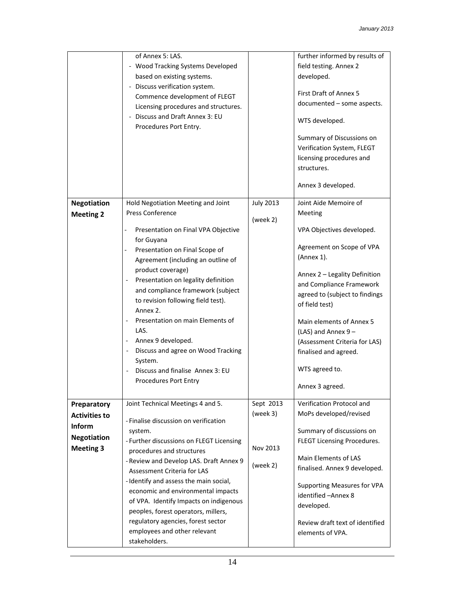|                      | of Annex 5: LAS.                                                |                  | further informed by results of                                                                     |
|----------------------|-----------------------------------------------------------------|------------------|----------------------------------------------------------------------------------------------------|
|                      | - Wood Tracking Systems Developed                               |                  | field testing. Annex 2                                                                             |
|                      | based on existing systems.                                      |                  | developed.                                                                                         |
|                      |                                                                 |                  |                                                                                                    |
|                      | - Discuss verification system.                                  |                  | First Draft of Annex 5                                                                             |
|                      | Commence development of FLEGT                                   |                  | documented - some aspects.                                                                         |
|                      | Licensing procedures and structures.                            |                  |                                                                                                    |
|                      | - Discuss and Draft Annex 3: EU<br>Procedures Port Entry.       |                  | WTS developed.                                                                                     |
|                      |                                                                 |                  | Summary of Discussions on<br>Verification System, FLEGT<br>licensing procedures and<br>structures. |
|                      |                                                                 |                  | Annex 3 developed.                                                                                 |
| <b>Negotiation</b>   | Hold Negotiation Meeting and Joint                              | <b>July 2013</b> | Joint Aide Memoire of                                                                              |
| <b>Meeting 2</b>     | <b>Press Conference</b>                                         |                  | Meeting                                                                                            |
|                      |                                                                 | (week 2)         |                                                                                                    |
|                      | Presentation on Final VPA Objective<br>$\overline{\phantom{0}}$ |                  | VPA Objectives developed.                                                                          |
|                      | for Guyana                                                      |                  |                                                                                                    |
|                      | Presentation on Final Scope of<br>$\overline{\phantom{0}}$      |                  | Agreement on Scope of VPA                                                                          |
|                      | Agreement (including an outline of                              |                  | (Annex 1).                                                                                         |
|                      | product coverage)                                               |                  |                                                                                                    |
|                      | Presentation on legality definition                             |                  | Annex 2 - Legality Definition                                                                      |
|                      | and compliance framework (subject                               |                  | and Compliance Framework                                                                           |
|                      | to revision following field test).                              |                  | agreed to (subject to findings                                                                     |
|                      | Annex 2.                                                        |                  | of field test)                                                                                     |
|                      | Presentation on main Elements of<br>$\overline{\phantom{a}}$    |                  | Main elements of Annex 5                                                                           |
|                      | LAS.                                                            |                  |                                                                                                    |
|                      | Annex 9 developed.                                              |                  | (LAS) and Annex 9-                                                                                 |
|                      |                                                                 |                  | (Assessment Criteria for LAS)                                                                      |
|                      | Discuss and agree on Wood Tracking                              |                  | finalised and agreed.                                                                              |
|                      | System.                                                         |                  |                                                                                                    |
|                      | Discuss and finalise Annex 3: EU                                |                  | WTS agreed to.                                                                                     |
|                      | Procedures Port Entry                                           |                  | Annex 3 agreed.                                                                                    |
|                      |                                                                 |                  |                                                                                                    |
| Preparatory          | Joint Technical Meetings 4 and 5.                               | Sept 2013        | Verification Protocol and                                                                          |
| <b>Activities to</b> | - Finalise discussion on verification                           | (week $3$ )      | MoPs developed/revised                                                                             |
| <b>Inform</b>        | system.                                                         |                  | Summary of discussions on                                                                          |
| <b>Negotiation</b>   | - Further discussions on FLEGT Licensing                        |                  | FLEGT Licensing Procedures.                                                                        |
| <b>Meeting 3</b>     | procedures and structures                                       | Nov 2013         |                                                                                                    |
|                      | - Review and Develop LAS. Draft Annex 9                         |                  | Main Elements of LAS                                                                               |
|                      | Assessment Criteria for LAS                                     | (week 2)         | finalised. Annex 9 developed.                                                                      |
|                      |                                                                 |                  |                                                                                                    |
|                      | - Identify and assess the main social,                          |                  | <b>Supporting Measures for VPA</b>                                                                 |
|                      | economic and environmental impacts                              |                  | identified - Annex 8                                                                               |
|                      | of VPA. Identify Impacts on indigenous                          |                  | developed.                                                                                         |
|                      | peoples, forest operators, millers,                             |                  |                                                                                                    |
|                      | regulatory agencies, forest sector                              |                  | Review draft text of identified                                                                    |
|                      | employees and other relevant                                    |                  | elements of VPA.                                                                                   |
|                      | stakeholders.                                                   |                  |                                                                                                    |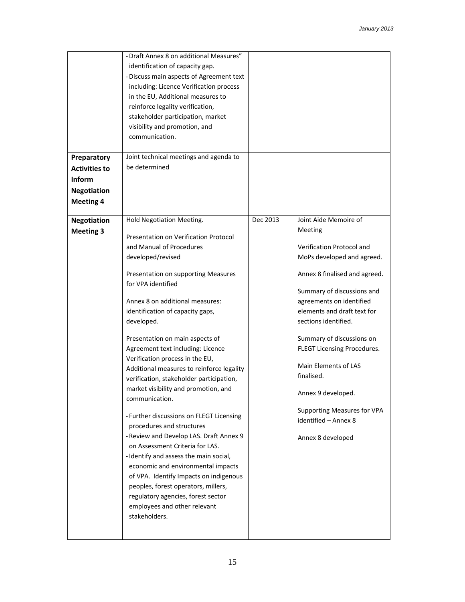|                                        | - Draft Annex 8 on additional Measures"<br>identification of capacity gap.<br>- Discuss main aspects of Agreement text<br>including: Licence Verification process<br>in the EU, Additional measures to                                                                                                                                                                                                                                                                                                                                                                                                                                                                                                                                                                                                               |          |                                                                                                                                                                                                                                                                                                                                                                                                                                                   |
|----------------------------------------|----------------------------------------------------------------------------------------------------------------------------------------------------------------------------------------------------------------------------------------------------------------------------------------------------------------------------------------------------------------------------------------------------------------------------------------------------------------------------------------------------------------------------------------------------------------------------------------------------------------------------------------------------------------------------------------------------------------------------------------------------------------------------------------------------------------------|----------|---------------------------------------------------------------------------------------------------------------------------------------------------------------------------------------------------------------------------------------------------------------------------------------------------------------------------------------------------------------------------------------------------------------------------------------------------|
|                                        | reinforce legality verification,<br>stakeholder participation, market                                                                                                                                                                                                                                                                                                                                                                                                                                                                                                                                                                                                                                                                                                                                                |          |                                                                                                                                                                                                                                                                                                                                                                                                                                                   |
|                                        | visibility and promotion, and                                                                                                                                                                                                                                                                                                                                                                                                                                                                                                                                                                                                                                                                                                                                                                                        |          |                                                                                                                                                                                                                                                                                                                                                                                                                                                   |
|                                        | communication.                                                                                                                                                                                                                                                                                                                                                                                                                                                                                                                                                                                                                                                                                                                                                                                                       |          |                                                                                                                                                                                                                                                                                                                                                                                                                                                   |
| Preparatory                            | Joint technical meetings and agenda to                                                                                                                                                                                                                                                                                                                                                                                                                                                                                                                                                                                                                                                                                                                                                                               |          |                                                                                                                                                                                                                                                                                                                                                                                                                                                   |
| <b>Activities to</b>                   | be determined                                                                                                                                                                                                                                                                                                                                                                                                                                                                                                                                                                                                                                                                                                                                                                                                        |          |                                                                                                                                                                                                                                                                                                                                                                                                                                                   |
| Inform                                 |                                                                                                                                                                                                                                                                                                                                                                                                                                                                                                                                                                                                                                                                                                                                                                                                                      |          |                                                                                                                                                                                                                                                                                                                                                                                                                                                   |
| <b>Negotiation</b>                     |                                                                                                                                                                                                                                                                                                                                                                                                                                                                                                                                                                                                                                                                                                                                                                                                                      |          |                                                                                                                                                                                                                                                                                                                                                                                                                                                   |
| <b>Meeting 4</b>                       |                                                                                                                                                                                                                                                                                                                                                                                                                                                                                                                                                                                                                                                                                                                                                                                                                      |          |                                                                                                                                                                                                                                                                                                                                                                                                                                                   |
| <b>Negotiation</b><br><b>Meeting 3</b> | Hold Negotiation Meeting.<br>Presentation on Verification Protocol<br>and Manual of Procedures<br>developed/revised<br>Presentation on supporting Measures<br>for VPA identified<br>Annex 8 on additional measures:<br>identification of capacity gaps,<br>developed.<br>Presentation on main aspects of<br>Agreement text including: Licence<br>Verification process in the EU,<br>Additional measures to reinforce legality<br>verification, stakeholder participation,<br>market visibility and promotion, and<br>communication.<br>- Further discussions on FLEGT Licensing<br>procedures and structures<br>- Review and Develop LAS. Draft Annex 9<br>on Assessment Criteria for LAS.<br>- Identify and assess the main social,<br>economic and environmental impacts<br>of VPA. Identify Impacts on indigenous | Dec 2013 | Joint Aide Memoire of<br>Meeting<br>Verification Protocol and<br>MoPs developed and agreed.<br>Annex 8 finalised and agreed.<br>Summary of discussions and<br>agreements on identified<br>elements and draft text for<br>sections identified.<br>Summary of discussions on<br>FLEGT Licensing Procedures.<br>Main Elements of LAS<br>finalised.<br>Annex 9 developed.<br>Supporting Measures for VPA<br>identified - Annex 8<br>Annex 8 developed |
|                                        | peoples, forest operators, millers,<br>regulatory agencies, forest sector<br>employees and other relevant<br>stakeholders.                                                                                                                                                                                                                                                                                                                                                                                                                                                                                                                                                                                                                                                                                           |          |                                                                                                                                                                                                                                                                                                                                                                                                                                                   |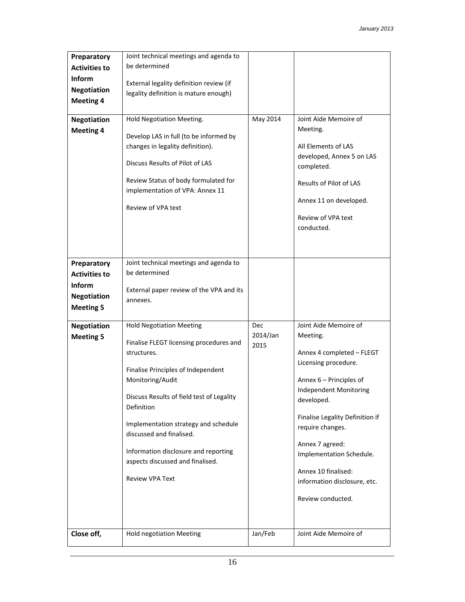| Preparatory                            | Joint technical meetings and agenda to                                   |          |                                                     |
|----------------------------------------|--------------------------------------------------------------------------|----------|-----------------------------------------------------|
| <b>Activities to</b>                   | be determined                                                            |          |                                                     |
| Inform                                 | External legality definition review (if                                  |          |                                                     |
| <b>Negotiation</b>                     | legality definition is mature enough)                                    |          |                                                     |
| <b>Meeting 4</b>                       |                                                                          |          |                                                     |
| <b>Negotiation</b>                     | Hold Negotiation Meeting.                                                | May 2014 | Joint Aide Memoire of                               |
| <b>Meeting 4</b>                       |                                                                          |          | Meeting.                                            |
|                                        | Develop LAS in full (to be informed by                                   |          |                                                     |
|                                        | changes in legality definition).                                         |          | All Elements of LAS                                 |
|                                        | Discuss Results of Pilot of LAS                                          |          | developed, Annex 5 on LAS<br>completed.             |
|                                        | Review Status of body formulated for                                     |          | Results of Pilot of LAS                             |
|                                        | implementation of VPA: Annex 11                                          |          |                                                     |
|                                        | Review of VPA text                                                       |          | Annex 11 on developed.                              |
|                                        |                                                                          |          | Review of VPA text                                  |
|                                        |                                                                          |          | conducted.                                          |
|                                        |                                                                          |          |                                                     |
|                                        |                                                                          |          |                                                     |
| Preparatory                            | Joint technical meetings and agenda to                                   |          |                                                     |
| <b>Activities to</b>                   | be determined                                                            |          |                                                     |
| Inform                                 |                                                                          |          |                                                     |
| <b>Negotiation</b>                     | External paper review of the VPA and its<br>annexes.                     |          |                                                     |
| <b>Meeting 5</b>                       |                                                                          |          |                                                     |
|                                        | <b>Hold Negotiation Meeting</b>                                          | Dec      | Joint Aide Memoire of                               |
| <b>Negotiation</b><br><b>Meeting 5</b> |                                                                          | 2014/Jan | Meeting.                                            |
|                                        | Finalise FLEGT licensing procedures and                                  | 2015     |                                                     |
|                                        | structures.                                                              |          | Annex 4 completed - FLEGT                           |
|                                        | Finalise Principles of Independent                                       |          | Licensing procedure.                                |
|                                        | Monitoring/Audit                                                         |          | Annex 6 – Principles of                             |
|                                        |                                                                          |          | <b>Independent Monitoring</b>                       |
|                                        | Discuss Results of field test of Legality                                |          | developed.                                          |
|                                        | Definition                                                               |          |                                                     |
|                                        | Implementation strategy and schedule                                     |          | Finalise Legality Definition if<br>require changes. |
|                                        | discussed and finalised.                                                 |          |                                                     |
|                                        |                                                                          |          | Annex 7 agreed:                                     |
|                                        | Information disclosure and reporting<br>aspects discussed and finalised. |          | Implementation Schedule.                            |
|                                        |                                                                          |          | Annex 10 finalised:                                 |
|                                        | <b>Review VPA Text</b>                                                   |          | information disclosure, etc.                        |
|                                        |                                                                          |          |                                                     |
|                                        |                                                                          |          | Review conducted.                                   |
|                                        |                                                                          |          |                                                     |
|                                        |                                                                          |          |                                                     |
| Close off,                             | <b>Hold negotiation Meeting</b>                                          | Jan/Feb  | Joint Aide Memoire of                               |